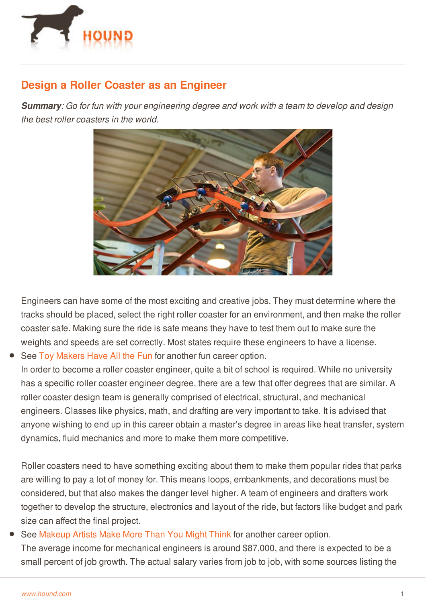

## **Design a Roller Coaster as an Engineer**

*Summary: Go for fun with your engineering degree and work with a team to develop and design the best roller coasters in the world.*



Engineers can have some of the most exciting and creative jobs. They must determine where the tracks should be placed, select the right roller coaster for an environment, and then make the roller coaster safe. Making sure the ride is safe means they have to test them out to make sure the weights and speeds are set correctly. Most states require these engineers to have a license. See Toy [Makers](http://www.hound.com/article/900046187/Toy-Makers-Have-All-the-Fun/) Have All the Fun for another fun career option.

In order to become a roller coaster engineer, quite a bit of school is required. While no university has a specific roller coaster engineer degree, there are a few that offer degrees that are similar. A roller coaster design team is generally comprised of electrical, structural, and mechanical engineers. Classes like physics, math, and drafting are very important to take. It is advised that anyone wishing to end up in this career obtain a master's degree in areas like heat transfer, system dynamics, fluid mechanics and more to make them more competitive.

Roller coasters need to have something exciting about them to make them popular rides that parks are willing to pay a lot of money for. This means loops, embankments, and decorations must be considered, but that also makes the danger level higher. A team of engineers and drafters work together to develop the structure, electronics and layout of the ride, but factors like budget and park size can affect the final project.

## See [Makeup](http://www.hound.com/article/900046277/Makeup-Artists-Make-More-Than-You-Might-Think/) Artists Make More Than You Might Think for another career option. The average income for mechanical engineers is around \$87,000, and there is expected to be a small percent of job growth. The actual salary varies from job to job, with some sources listing the